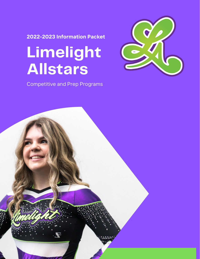**2022-2023 Information Packet**

# **Limelight Allstars**

Competitive and Prep Programs



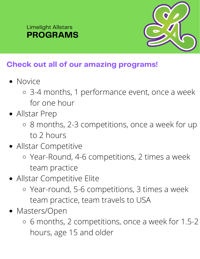### **PROGRAMS** Limelight Allstars



## **Check out all of our amazing programs!**

- Novice
	- 3-4 months, 1 performance event, once a week for one hour
- Allstar Prep
	- 8 months, 2-3 competitions, once a week for up to 2 hours
- Allstar Competitive
	- Year-Round, 4-6 competitions, 2 times a week team practice
- Allstar Competitive Elite
	- Year-round, 5-6 competitions, 3 times a week team practice, team travels to USA
- Masters/Open
	- 6 months, 2 competitions, once a week for 1.5-2 hours, age 15 and older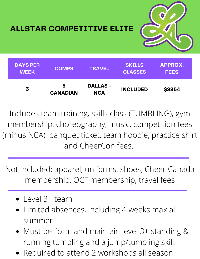

**ALLSTAR COMPETITIVE ELITE**

| <b>DAYS PER</b><br><b>WEEK</b> | <b>COMPS</b>         | <b>TRAVEL</b>                 | <b>SKILLS</b><br><b>CLASSES</b> | APPROX.<br><b>FEES</b> |
|--------------------------------|----------------------|-------------------------------|---------------------------------|------------------------|
| 3                              | 5<br><b>CANADIAN</b> | <b>DALLAS -</b><br><b>NCA</b> | <b>INCLUDED</b>                 | \$3854                 |

Includes team training, skills class (TUMBLING), gym membership, choreography, music, competition fees (minus NCA), banquet ticket, team hoodie, practice shirt and CheerCon fees.

Not Included: apparel, uniforms, shoes, Cheer Canada membership, OCF membership, travel fees

- Level 3+ team
- Limited absences, including 4 weeks max all summer
- Must perform and maintain level 3+ standing & running tumbling and a jump/tumbling skill.
- Required to attend 2 workshops all season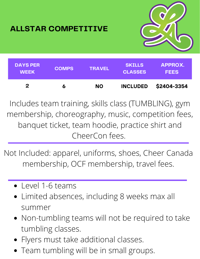

## **ALLSTAR COMPETITIVE**



Includes team training, skills class (TUMBLING), gym membership, choreography, music, competition fees, banquet ticket, team hoodie, practice shirt and CheerCon fees.

Not Included: apparel, uniforms, shoes, Cheer Canada membership, OCF membership, travel fees.

- Level 1-6 teams
- Limited absences, including 8 weeks max all summer
- Non-tumbling teams will not be required to take tumbling classes.
- Flyers must take additional classes.
- Team tumbling will be in small groups.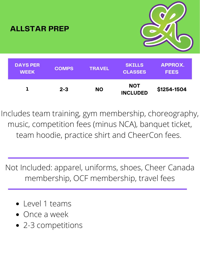

Includes team training, gym membership, choreography, music, competition fees (minus NCA), banquet ticket, team hoodie, practice shirt and CheerCon fees.

Not Included: apparel, uniforms, shoes, Cheer Canada membership, OCF membership, travel fees

- Level 1 teams
- Once a week
- 2-3 competitions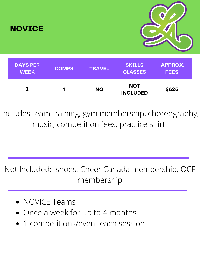

Includes team training, gym membership, choreography, music, competition fees, practice shirt

Not Included: shoes, Cheer Canada membership, OCF membership

- NOVICE Teams
- Once a week for up to 4 months.
- 1 competitions/event each session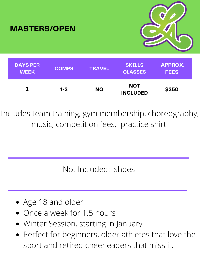



| <b>DAYS PER</b><br><b>WEEK</b> | <b>COMPS</b> | <b>TRAVEL</b> | <b>SKILLS</b><br><b>CLASSES</b> | <b>APPROX.</b><br><b>FEES</b> |
|--------------------------------|--------------|---------------|---------------------------------|-------------------------------|
|                                | $1 - 2$      | <b>NO</b>     | <b>NOT</b><br><b>INCLUDED</b>   | \$250                         |

Includes team training, gym membership, choreography, music, competition fees, practice shirt

Not Included: shoes

- Age 18 and older
- Once a week for 1.5 hours
- Winter Session, starting in January
- Perfect for beginners, older athletes that love the sport and retired cheerleaders that miss it.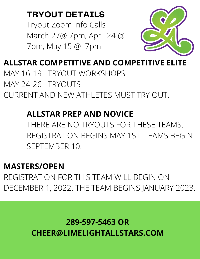## **TRYOUT DETAILS**

Tryout Zoom Info Calls March 27@ 7pm, April 24 @ 7pm, May 15 @ 7pm



**ALLSTAR COMPETITIVE AND COMPETITIVE ELITE** MAY 16-19 TRYOUT WORKSHOPS MAY 24-26 TRYOUTS CURRENT AND NEW ATHLETES MUST TRY OUT.

## **ALLSTAR PREP AND NOVICE**

THERE ARE NO TRYOUTS FOR THESE TEAMS. REGISTRATION BEGINS MAY 1ST. TEAMS BEGIN SEPTEMBER 10.

## **MASTERS/OPEN**

REGISTRATION FOR THIS TEAM WILL BEGIN ON DECEMBER 1, 2022. THE TEAM BEGINS JANUARY 2023.

# **289-597-5463 OR CHEER@LIMELIGHTALLSTARS.COM**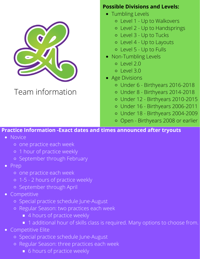

## Team information

#### **Possible Divisions and Levels:**

- Tumbling Levels
	- Level 1 Up to Walkovers
	- Level 2 Up to Handsprings
	- Level 3 Up to Tucks
	- Level 4 Up to Layouts
	- Level 5 Up to Fulls
- Non-Tumbling Levels
	- $O|PVA|20$
	- $O|PV|$  3.0
- Age Divisions
	- Under 6 Birthyears 2016-2018
	- Under 8 Birthyears 2014-2018
	- Under 12 Birthyears 2010-2015
	- Under 16 Birthyears 2006-2011
	- Under 18 Birthyears 2004-2009
	- Open Birthyears 2008 or earlier

#### **Practice Information -Exact dates and times announced after tryouts**

- Novice
	- one practice each week
	- o 1 hour of practice weekly
	- o September through February
- Prep
	- one practice each week
	- 1-5 2 hours of practice weekly
	- o September through April
- Competitive
	- Special practice schedule June-August
	- Regular Season: two practices each week
		- 4 hours of practice weekly
		- 1 additional hour of skills class is required. Many options to choose from.
- Competitive Elite
	- Special practice schedule June-August
	- Regular Season: three practices each week
		- **6** hours of practice weekly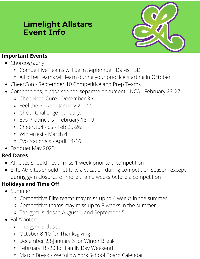## **Limelight Allstars Event Info**



#### **Important Events**

- Choreography
	- Competitive Teams will be in September. Dates TBD
	- All other teams will learn during your practice starting in October
- CheerCon September 10 Competitive and Prep Teams
- Competitions, please see the separate document NCA February 23-27
	- Cheer4the Cure December 3-4:
	- Feel the Power January 21-22:
	- o Cheer Challenge January:
	- Evo Provincials February 18-19:
	- CheerUp4Kids Feb 25-26:
	- Winterfest March 4:
	- Evo Nationals April 14-16:
- Banquet May 2023

#### **Red Dates**

- Atheltes should never miss 1 week prior to a competition
- Elite Atheltes should not take a vacation during competition season, except during gym closures or more than 2 weeks before a competition

#### **Holidays and Time Off**

- Summer
	- Competitive Elite teams may miss up to 4 weeks in the summer
	- Competitive teams may miss up to 8 weeks in the summer
	- The gym is closed August 1 and September 5
- Fall/Winter
	- The gym is closed
	- October 8-10 for Thanksgiving
	- December 23-January 6 for Winter Break
	- February 18-20 for Family Day Weekend
	- March Break We follow York School Board Calendar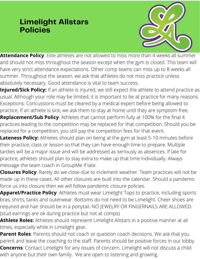## **Limelight Allstars Policies**



**Attendance Policy**: Elite athletes are not allowed to miss more than 4 weeks all summer and should not miss throughout the season except when the gym is closed. This team will have very strict attendance expectations. Other comp teams can miss up to 8 weeks all summer. Throughout the season, we ask that athletes do not miss practice unless absolutely necessary. Good attendance is vital to team success.

**Injured/Sick Policy:** If an athlete is injured, we still expect the athlete to attend practice as usual. Although your role may be limited, it is important to be at practice for many reasons. Exceptions: Concussions must be cleared by a medical expert before being allowed to practice. If an athlete is sick, we ask them to stay at home until they are symptom-free.

**Replacement/Sub Policy**: Athletes that cannot perform fully at 100% for the final 4 practices leading to the competition may be replaced for that competition. Should you be replaced for a competition, you still pay the competition fees for that event.

**Lateness Policy:** Athletes should plan on being at the gym at least 5-10 minutes before their practice, class or lesson so that they can have enough time to prepare. Multiple tardies will be a major issue and will be addressed as seriously as absences. If late for practice, athletes should plan to stay extra to make up that time individually. Always message the team coach in GroupMe if late.

**Closures Policy**: Rarely do we close due to inclement weather. Team practices will not be made up in these cases. All other closures are built into the calendar. Should a pandemic force us into closure then we will follow pandemic closure policies.

**Apparel/Practice Policy**: Athletes must wear Limelight Tops to practice, including sports bras, shirts, tanks and outerwear. Bottoms do not need to be Limelight. Cheer shoes are required and hair should be in a ponytail. NO JEWELRY OR FINGERNAILS ARE ALLOWED. (stud earrings are ok during practice but not at comps)

**Athlete Roles:** Athletes should represent Limelight Allstars in a positive manner at all times, especially while in Limelight gear.

**Parent Roles**: Parents should not coach or question coach decisions. We ask that you parent and leave the coaching to the staff. Parents should be positive forces in our lobby. **Concerns**: Contact Limelight for any issues of concern. Limelight will not discuss a child with anyone but their own family. We are open to listening and growing.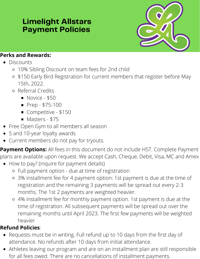## **Limelight Allstars Payment Policies**



#### **Perks and Rewards:**

- **Discounts** 
	- 10% Sibling Discount on team fees for 2nd child
	- \$150 Early Bird Registration for current members that register before May 15th, 2022.
	- Referral Credits
		- Novice \$50
		- $$
		- Competitive \$150
		- Masters \$75
- Free Open Gym to all members all season
- 5 and 10-year loyalty awards
- Current members do not pay for tryouts.  $\bullet$

**Payment Options:** All fees in this document do not include HST. Complete Payment plans are available upon request. We accept Cash, Cheque, Debit, Visa, MC and Amex

- How to pay? (inquire for payment details)
	- Full payment option due at time of registration
	- 3% installment fee for 4 payment option: 1st payment is due at the time of registration and the remaining 3 payments will be spread out every 2-3 months. The 1st 2 payments are weighted heavier.
	- 4% installment fee for monthly payment option. 1st payment is due at the time of registration. All subsequent payments will be spread out over the remaining months until April 2023. The first few payments will be weighted heavier

### **Refund Policies**:

- Requests must be in writing. Full refund up to 10 days from the first day of attendance. No refunds after 10 days from initial attendance.
- Athletes leaving our program and are on an installment plan are still responsible for all fees owed. There are no cancellations of installment payments.